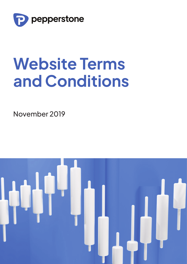

# **Website Terms and Conditions**

November 2019

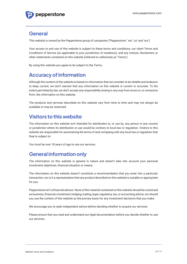

#### **General**

This website is owned by the Pepperstone group of companies ('Pepperstone', 'we', 'us' and 'our').

Your access to and use of this website is subject to these terms and conditions, our client Terms and Conditions of Service (as applicable to your jurisdiction of residence), and any notices, disclaimers or other statements contained on this website (referred to collectively as 'Terms').

By using this website you agree to be subject to the Terms.

### **Accuracy of information**

Although the content of this website is based on information that we consider to be reliable and endeavor to keep current, we don't warrant that any information on this website is current or accurate. To the extent permitted by law, we don't accept any responsibility arising in any way from errors in, or omissions from, the information on this website.

The products and services described on this website vary from time to time and may not always be available or may be restricted.

### **Visitors to this website**

The information on this website isn't intended for distribution to, or use by, any person in any country or jurisdiction where its distribution or use would be contrary to local law or regulation. Visitors to this website are responsible for ascertaining the terms of and complying with any local law or regulation that they're subject to.

You must be over 18 years of age to use our services.

## **General information only**

The information on this website is general in nature and doesn't take into account your personal investment objectives, financial situation or means.

The information on this website doesn't constitute a recommendation that you enter into a particular transaction, nor is it a representation that any product described on this website is suitable or appropriate for you.

Pepperstone isn't a financial advisor. None of the material contained on this website should be construed as business, financial, investment, hedging, trading, legal, regulatory, tax, or accounting advice, nor should you use the content of this website as the primary basis for any investment decisions that you make.

We encourage you to seek independent advice before deciding whether to acquire our services.

Please ensure that you read and understand our legal documentation before you decide whether to use our services.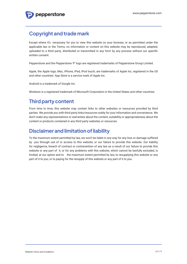## **Copyright and trade mark**

Except where it's necessary for you to view this website on your browser, or as permitted under the applicable law or the Terms, no information or content on this website may be reproduced, adapted, uploaded to a third party, distributed or transmitted in any form by any process without our specific written consent.

Pepperstone and the Pepperstone 'P' logo are registered trademarks of Pepperstone Group Limited.

Apple, the Apple logo, Mac, iPhone, iPad, iPod touch, are trademarks of Apple Inc, registered in the US and other countries. App Store is a service mark of Apple Inc.

Android is a trademark of Google Inc.

Windows is a registered trademark of Microsoft Corporation in the United States and other countries.

## **Third party content**

From time to time, this website may contain links to other websites or resources provided by third parties. We provide you with third party links/resources solely for your information and convenience. We don't make any representations or warranties about the content, suitability or appropriateness about the content or products contained in any third party websites or resources.

### **Disclaimer and limitation of liability**

To the maximum extent permitted by law, we won't be liable in any way for any loss or damage suffered by you through use of or access to this website, or our failure to provide this website. Our liability for negligence, breach of contract or contravention of any law as a result of our failure to provide this website or any part of it, or for any problems with this website, which cannot be lawfully excluded, is limited, at our option and to the maximum extent permitted by law, to resupplying this website or any part of it to you, or to paying for the resupply of this website or any part of it to you.